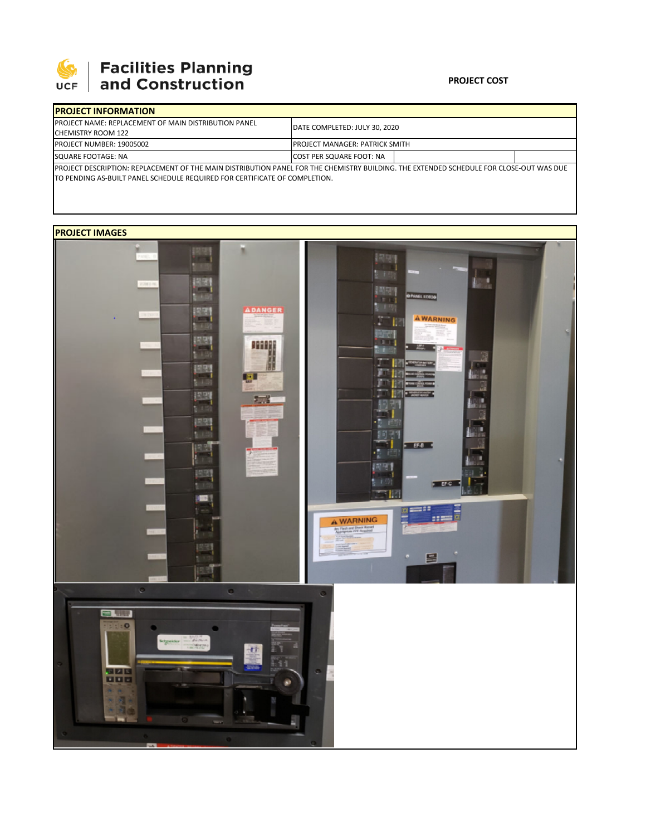

# **SEPTE AND Facilities Planning**<br>UCF and Construction

### **PROJECT COST**

| <b>IPROJECT INFORMATION</b>                                                                                                              |                                       |  |  |  |  |
|------------------------------------------------------------------------------------------------------------------------------------------|---------------------------------------|--|--|--|--|
| <b>IPROJECT NAME: REPLACEMENT OF MAIN DISTRIBUTION PANEL</b>                                                                             | DATE COMPLETED: JULY 30, 2020         |  |  |  |  |
| <b>CHEMISTRY ROOM 122</b>                                                                                                                |                                       |  |  |  |  |
| <b>PROJECT NUMBER: 19005002</b>                                                                                                          | <b>PROJECT MANAGER: PATRICK SMITH</b> |  |  |  |  |
| SQUARE FOOTAGE: NA                                                                                                                       | <b>COST PER SQUARE FOOT: NA</b>       |  |  |  |  |
| IPROJECT DESCRIPTION: REPLACEMENT OF THE MAIN DISTRIBUTION PANEL FOR THE CHEMISTRY BUILDING. THE EXTENDED SCHEDULE FOR CLOSE-OUT WAS DUE |                                       |  |  |  |  |

TO PENDING AS‐BUILT PANEL SCHEDULE REQUIRED FOR CERTIFICATE OF COMPLETION.

## **PROJECT IMAGES**